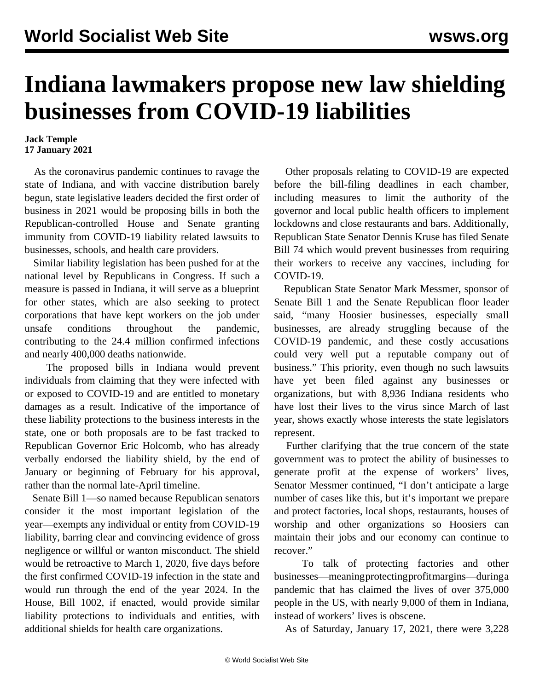## **Indiana lawmakers propose new law shielding businesses from COVID-19 liabilities**

## **Jack Temple 17 January 2021**

 As the coronavirus pandemic continues to ravage the state of Indiana, and with vaccine distribution barely begun, state legislative leaders decided the first order of business in 2021 would be proposing bills in both the Republican-controlled House and Senate granting immunity from COVID-19 liability related lawsuits to businesses, schools, and health care providers.

 Similar liability legislation has been pushed for at the national level by Republicans in Congress. If such a measure is passed in Indiana, it will serve as a blueprint for other states, which are also seeking to protect corporations that have kept workers on the job under unsafe conditions throughout the pandemic, contributing to the 24.4 million confirmed infections and nearly 400,000 deaths nationwide.

 The proposed bills in Indiana would prevent individuals from claiming that they were infected with or exposed to COVID-19 and are entitled to monetary damages as a result. Indicative of the importance of these liability protections to the business interests in the state, one or both proposals are to be fast tracked to Republican Governor Eric Holcomb, who has already verbally endorsed the liability shield, by the end of January or beginning of February for his approval, rather than the normal late-April timeline.

 Senate Bill 1—so named because Republican senators consider it the most important legislation of the year—exempts any individual or entity from COVID-19 liability, barring clear and convincing evidence of gross negligence or willful or wanton misconduct. The shield would be retroactive to March 1, 2020, five days before the first confirmed COVID-19 infection in the state and would run through the end of the year 2024. In the House, Bill 1002, if enacted, would provide similar liability protections to individuals and entities, with additional shields for health care organizations.

 Other proposals relating to COVID-19 are expected before the bill-filing deadlines in each chamber, including measures to limit the authority of the governor and local public health officers to implement lockdowns and close restaurants and bars. Additionally, Republican State Senator Dennis Kruse has filed Senate Bill 74 which would prevent businesses from requiring their workers to receive any vaccines, including for COVID-19.

 Republican State Senator Mark Messmer, sponsor of Senate Bill 1 and the Senate Republican floor leader said, "many Hoosier businesses, especially small businesses, are already struggling because of the COVID-19 pandemic, and these costly accusations could very well put a reputable company out of business." This priority, even though no such lawsuits have yet been filed against any businesses or organizations, but with 8,936 Indiana residents who have lost their lives to the virus since March of last year, shows exactly whose interests the state legislators represent.

 Further clarifying that the true concern of the state government was to protect the ability of businesses to generate profit at the expense of workers' lives, Senator Messmer continued, "I don't anticipate a large number of cases like this, but it's important we prepare and protect factories, local shops, restaurants, houses of worship and other organizations so Hoosiers can maintain their jobs and our economy can continue to recover."

 To talk of protecting factories and other businesses—meaning protecting profit margins—during a pandemic that has claimed the lives of over 375,000 people in the US, with nearly 9,000 of them in Indiana, instead of workers' lives is obscene.

As of Saturday, January 17, 2021, there were 3,228